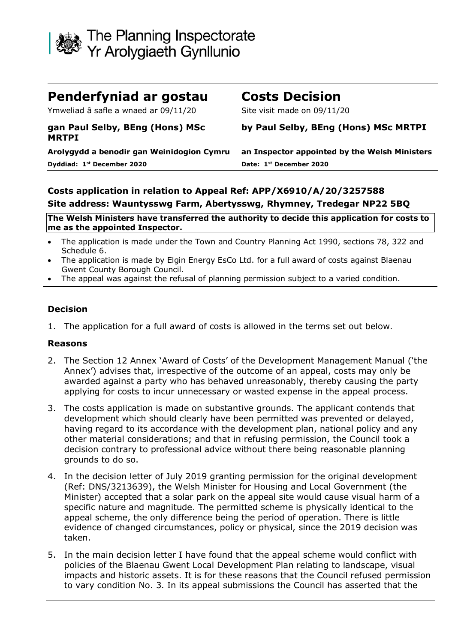

| Penderfyniad ar gostau                          | <b>Costs Decision</b>                         |
|-------------------------------------------------|-----------------------------------------------|
| Ymweliad â safle a wnaed ar 09/11/20            | Site visit made on 09/11/20                   |
| gan Paul Selby, BEng (Hons) MSc<br><b>MRTPI</b> | by Paul Selby, BEng (Hons) MSc MRTPI          |
| Arolygydd a benodir gan Weinidogion Cymru       | an Inspector appointed by the Welsh Ministers |
| Dyddiad: 1 <sup>st</sup> December 2020          | Date: 1st December 2020                       |

## **Costs application in relation to Appeal Ref: APP/X6910/A/20/3257588 Site address: Wauntysswg Farm, Abertysswg, Rhymney, Tredegar NP22 5BQ**

**The Welsh Ministers have transferred the authority to decide this application for costs to me as the appointed Inspector.**

- The application is made under the Town and Country Planning Act 1990, sections 78, 322 and Schedule 6.
- The application is made by Elgin Energy EsCo Ltd. for a full award of costs against Blaenau Gwent County Borough Council.
- The appeal was against the refusal of planning permission subject to a varied condition.

## **Decision**

1. The application for a full award of costs is allowed in the terms set out below.

## **Reasons**

- 2. The Section 12 Annex 'Award of Costs' of the Development Management Manual ('the Annex') advises that, irrespective of the outcome of an appeal, costs may only be awarded against a party who has behaved unreasonably, thereby causing the party applying for costs to incur unnecessary or wasted expense in the appeal process.
- 3. The costs application is made on substantive grounds. The applicant contends that development which should clearly have been permitted was prevented or delayed, having regard to its accordance with the development plan, national policy and any other material considerations; and that in refusing permission, the Council took a decision contrary to professional advice without there being reasonable planning grounds to do so.
- 4. In the decision letter of July 2019 granting permission for the original development (Ref: DNS/3213639), the Welsh Minister for Housing and Local Government (the Minister) accepted that a solar park on the appeal site would cause visual harm of a specific nature and magnitude. The permitted scheme is physically identical to the appeal scheme, the only difference being the period of operation. There is little evidence of changed circumstances, policy or physical, since the 2019 decision was taken.
- 5. In the main decision letter I have found that the appeal scheme would conflict with policies of the Blaenau Gwent Local Development Plan relating to landscape, visual impacts and historic assets. It is for these reasons that the Council refused permission to vary condition No. 3. In its appeal submissions the Council has asserted that the